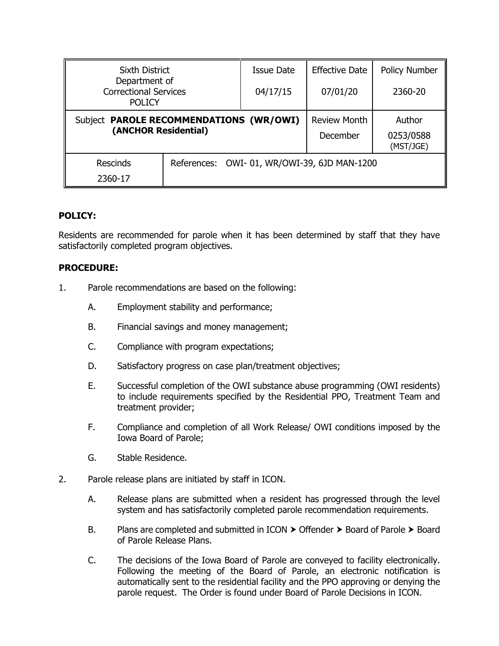| <b>Sixth District</b><br>Department of<br><b>Correctional Services</b><br><b>POLICY</b> |                                             | <b>Issue Date</b> | <b>Effective Date</b>           | <b>Policy Number</b>             |
|-----------------------------------------------------------------------------------------|---------------------------------------------|-------------------|---------------------------------|----------------------------------|
|                                                                                         |                                             | 04/17/15          | 07/01/20                        | 2360-20                          |
| Subject PAROLE RECOMMENDATIONS (WR/OWI)<br>(ANCHOR Residential)                         |                                             |                   | <b>Review Month</b><br>December | Author<br>0253/0588<br>(MST/JGE) |
| <b>Rescinds</b><br>2360-17                                                              | References: OWI-01, WR/OWI-39, 6JD MAN-1200 |                   |                                 |                                  |

## **POLICY:**

Residents are recommended for parole when it has been determined by staff that they have satisfactorily completed program objectives.

## **PROCEDURE:**

- 1. Parole recommendations are based on the following:
	- A. Employment stability and performance;
	- B. Financial savings and money management;
	- C. Compliance with program expectations;
	- D. Satisfactory progress on case plan/treatment objectives;
	- E. Successful completion of the OWI substance abuse programming (OWI residents) to include requirements specified by the Residential PPO, Treatment Team and treatment provider;
	- F. Compliance and completion of all Work Release/ OWI conditions imposed by the Iowa Board of Parole;
	- G. Stable Residence.
- 2. Parole release plans are initiated by staff in ICON.
	- A. Release plans are submitted when a resident has progressed through the level system and has satisfactorily completed parole recommendation requirements.
	- B. Plans are completed and submitted in ICON  $\triangleright$  Offender  $\triangleright$  Board of Parole  $\triangleright$  Board of Parole Release Plans.
	- C. The decisions of the Iowa Board of Parole are conveyed to facility electronically. Following the meeting of the Board of Parole, an electronic notification is automatically sent to the residential facility and the PPO approving or denying the parole request. The Order is found under Board of Parole Decisions in ICON.